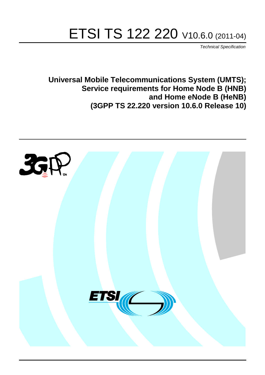# ETSI TS 122 220 V10.6.0 (2011-04)

*Technical Specification*

**Universal Mobile Telecommunications System (UMTS); Service requirements for Home Node B (HNB) and Home eNode B (HeNB) (3GPP TS 22.220 version 10.6.0 Release 10)**

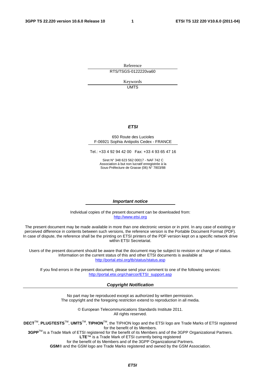Reference RTS/TSGS-0122220va60

> Keywords UMTS

### *ETSI*

#### 650 Route des Lucioles F-06921 Sophia Antipolis Cedex - FRANCE

Tel.: +33 4 92 94 42 00 Fax: +33 4 93 65 47 16

Siret N° 348 623 562 00017 - NAF 742 C Association à but non lucratif enregistrée à la Sous-Préfecture de Grasse (06) N° 7803/88

#### *Important notice*

Individual copies of the present document can be downloaded from: [http://www.etsi.org](http://www.etsi.org/)

The present document may be made available in more than one electronic version or in print. In any case of existing or perceived difference in contents between such versions, the reference version is the Portable Document Format (PDF). In case of dispute, the reference shall be the printing on ETSI printers of the PDF version kept on a specific network drive within ETSI Secretariat.

Users of the present document should be aware that the document may be subject to revision or change of status. Information on the current status of this and other ETSI documents is available at <http://portal.etsi.org/tb/status/status.asp>

If you find errors in the present document, please send your comment to one of the following services: [http://portal.etsi.org/chaircor/ETSI\\_support.asp](http://portal.etsi.org/chaircor/ETSI_support.asp)

#### *Copyright Notification*

No part may be reproduced except as authorized by written permission. The copyright and the foregoing restriction extend to reproduction in all media.

> © European Telecommunications Standards Institute 2011. All rights reserved.

**DECT**TM, **PLUGTESTS**TM, **UMTS**TM, **TIPHON**TM, the TIPHON logo and the ETSI logo are Trade Marks of ETSI registered for the benefit of its Members.

**3GPP**TM is a Trade Mark of ETSI registered for the benefit of its Members and of the 3GPP Organizational Partners. **LTE**™ is a Trade Mark of ETSI currently being registered

for the benefit of its Members and of the 3GPP Organizational Partners.

**GSM**® and the GSM logo are Trade Marks registered and owned by the GSM Association.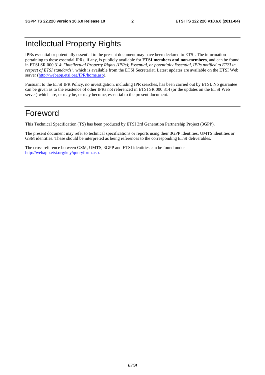# Intellectual Property Rights

IPRs essential or potentially essential to the present document may have been declared to ETSI. The information pertaining to these essential IPRs, if any, is publicly available for **ETSI members and non-members**, and can be found in ETSI SR 000 314: *"Intellectual Property Rights (IPRs); Essential, or potentially Essential, IPRs notified to ETSI in respect of ETSI standards"*, which is available from the ETSI Secretariat. Latest updates are available on the ETSI Web server [\(http://webapp.etsi.org/IPR/home.asp\)](http://webapp.etsi.org/IPR/home.asp).

Pursuant to the ETSI IPR Policy, no investigation, including IPR searches, has been carried out by ETSI. No guarantee can be given as to the existence of other IPRs not referenced in ETSI SR 000 314 (or the updates on the ETSI Web server) which are, or may be, or may become, essential to the present document.

# Foreword

This Technical Specification (TS) has been produced by ETSI 3rd Generation Partnership Project (3GPP).

The present document may refer to technical specifications or reports using their 3GPP identities, UMTS identities or GSM identities. These should be interpreted as being references to the corresponding ETSI deliverables.

The cross reference between GSM, UMTS, 3GPP and ETSI identities can be found under [http://webapp.etsi.org/key/queryform.asp.](http://webapp.etsi.org/key/queryform.asp)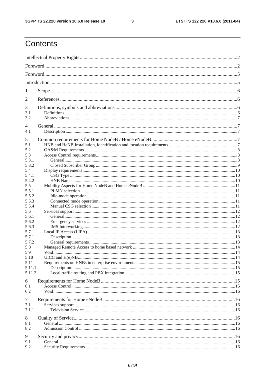$\mathbf{3}$ 

# Contents

| 1            |      |  |  |  |  |  |  |
|--------------|------|--|--|--|--|--|--|
|              |      |  |  |  |  |  |  |
| 2            |      |  |  |  |  |  |  |
| 3            |      |  |  |  |  |  |  |
| 3.1<br>3.2   |      |  |  |  |  |  |  |
|              |      |  |  |  |  |  |  |
| 4<br>4.1     |      |  |  |  |  |  |  |
|              |      |  |  |  |  |  |  |
| 5<br>5.1     |      |  |  |  |  |  |  |
| 5.2          |      |  |  |  |  |  |  |
| 5.3          |      |  |  |  |  |  |  |
| 5.3.1        |      |  |  |  |  |  |  |
| 5.3.2        |      |  |  |  |  |  |  |
| 5.4          |      |  |  |  |  |  |  |
| 5.4.1        |      |  |  |  |  |  |  |
| 5.4.2<br>5.5 |      |  |  |  |  |  |  |
| 5.5.1        |      |  |  |  |  |  |  |
| 5.5.2        |      |  |  |  |  |  |  |
| 5.5.3        |      |  |  |  |  |  |  |
| 5.5.4        |      |  |  |  |  |  |  |
| 5.6          |      |  |  |  |  |  |  |
| 5.6.1        |      |  |  |  |  |  |  |
| 5.6.2        |      |  |  |  |  |  |  |
| 5.6.3        |      |  |  |  |  |  |  |
| 5.7<br>5.7.1 |      |  |  |  |  |  |  |
| 5.7.2        |      |  |  |  |  |  |  |
| 5.8          |      |  |  |  |  |  |  |
| 5.9          | Void |  |  |  |  |  |  |
| 5.10         |      |  |  |  |  |  |  |
| 5.11         |      |  |  |  |  |  |  |
| 5.11.1       |      |  |  |  |  |  |  |
| 5.11.2       |      |  |  |  |  |  |  |
| 6            |      |  |  |  |  |  |  |
| 6.1          |      |  |  |  |  |  |  |
| 6.2          |      |  |  |  |  |  |  |
| 7            |      |  |  |  |  |  |  |
| 7.1          |      |  |  |  |  |  |  |
| 7.1.1        |      |  |  |  |  |  |  |
| 8            |      |  |  |  |  |  |  |
| 8.1          |      |  |  |  |  |  |  |
| 8.2          |      |  |  |  |  |  |  |
|              |      |  |  |  |  |  |  |
| 9            |      |  |  |  |  |  |  |
| 9.1<br>9.2   |      |  |  |  |  |  |  |
|              |      |  |  |  |  |  |  |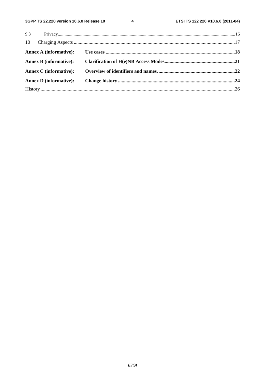$\overline{\mathbf{4}}$ 

| <b>Annex D</b> (informative): |  |
|-------------------------------|--|
|                               |  |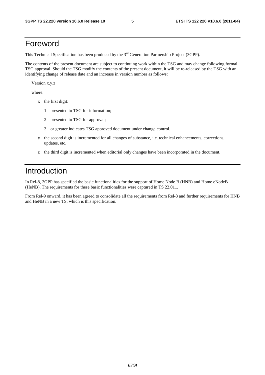# Foreword

This Technical Specification has been produced by the 3<sup>rd</sup> Generation Partnership Project (3GPP).

The contents of the present document are subject to continuing work within the TSG and may change following formal TSG approval. Should the TSG modify the contents of the present document, it will be re-released by the TSG with an identifying change of release date and an increase in version number as follows:

Version x.y.z

where:

- x the first digit:
	- 1 presented to TSG for information;
	- 2 presented to TSG for approval;
	- 3 or greater indicates TSG approved document under change control.
- y the second digit is incremented for all changes of substance, i.e. technical enhancements, corrections, updates, etc.
- z the third digit is incremented when editorial only changes have been incorporated in the document.

# Introduction

In Rel-8, 3GPP has specified the basic functionalities for the support of Home Node B (HNB) and Home eNodeB (HeNB). The requirements for these basic functionalities were captured in TS 22.011.

From Rel-9 onward, it has been agreed to consolidate all the requirements from Rel-8 and further requirements for HNB and HeNB in a new TS, which is this specification.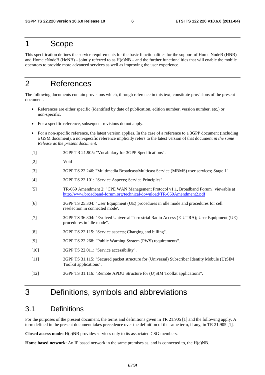# 1 Scope

This specification defines the service requirements for the basic functionalities for the support of Home NodeB (HNB) and Home eNodeB (HeNB) – jointly referred to as  $H(e)NB$  – and the further functionalities that will enable the mobile operators to provide more advanced services as well as improving the user experience.

# 2 References

The following documents contain provisions which, through reference in this text, constitute provisions of the present document.

- References are either specific (identified by date of publication, edition number, version number, etc.) or non-specific.
- For a specific reference, subsequent revisions do not apply.
- For a non-specific reference, the latest version applies. In the case of a reference to a 3GPP document (including a GSM document), a non-specific reference implicitly refers to the latest version of that document *in the same Release as the present document*.
- [1] 3GPP TR 21.905: "Vocabulary for 3GPP Specifications".
- [2] Void
- [3] 3GPP TS 22.246: "Multimedia Broadcast/Multicast Service (MBMS) user services; Stage 1".
- [4] 3GPP TS 22.101: "Service Aspects; Service Principles".
- [5] TR-069 Amendment 2: "CPE WAN Management Protocol v1.1, Broadband Forum', viewable at <http://www.broadband-forum.org/technical/download/TR-069Amendment2.pdf>
- [6] 3GPP TS 25.304: "User Equipment (UE) procedures in idle mode and procedures for cell reselection in connected mode'.
- [7] 3GPP TS 36.304: "Evolved Universal Terrestrial Radio Access (E-UTRA); User Equipment (UE) procedures in idle mode".
- [8] 3GPP TS 22.115: "Service aspects; Charging and billing".
- [9] 3GPP TS 22.268: "Public Warning System (PWS) requirements".
- [10] 3GPP TS 22.011: "Service accessibility".
- [11] 3GPP TS 31.115: "Secured packet structure for (Universal) Subscriber Identity Mobule (U)SIM Toolkit applications".
- [12] 3GPP TS 31.116: "Remote APDU Structure for (U)SIM Toolkit applications".

# 3 Definitions, symbols and abbreviations

### 3.1 Definitions

For the purposes of the present document, the terms and definitions given in TR 21.905 [1] and the following apply. A term defined in the present document takes precedence over the definition of the same term, if any, in TR 21.905 [1].

**Closed access mode:** H(e)NB provides services only to its associated CSG members.

**Home based network**: An IP based network in the same premises as, and is connected to, the H(e)NB.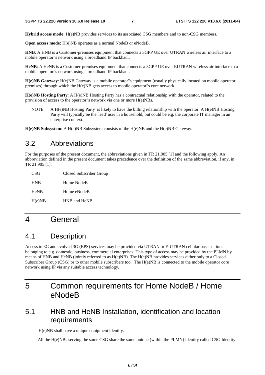**Hybrid access mode:** H(e)NB provides services to its associated CSG members and to non-CSG members.

**Open access mode:** H(e)NB operates as a normal NodeB or eNodeB.

**HNB**: A HNB is a Customer-premises equipment that connects a 3GPP UE over UTRAN wireless air interface to a mobile operator"s network using a broadband IP backhaul.

**HeNB**: A HeNB is a Customer-premises equipment that connects a 3GPP UE over EUTRAN wireless air interface to a mobile operator"s network using a broadband IP backhaul.

**H(e)NB Gateway**: H(e)NB Gateway is a mobile operator"s equipment (usually physically located on mobile operator premises) through which the H(e)NB gets access to mobile operator"s core network.

**H(e)NB Hosting Party**: A H(e)NB Hosting Party has a contractual relationship with the operator, related to the provision of access to the operator"s network via one or more H(e)NBs.

NOTE: A H(e)NB Hosting Party is likely to have the billing relationship with the operator. A H(e)NB Hosting Party will typically be the 'lead' user in a household, but could be e.g. the corporate IT manager in an enterprise context.

**H(e)NB Subsystem**: A H(e)NB Subsystem consists of the H(e)NB and the H(e)NB Gateway.

# 3.2 Abbreviations

For the purposes of the present document, the abbreviations given in TR 21.905 [1] and the following apply. An abbreviation defined in the present document takes precedence over the definition of the same abbreviation, if any, in TR 21.905 [1].

| CSG         | Closed Subscriber Group |
|-------------|-------------------------|
| <b>HNB</b>  | Home NodeB              |
| <b>HeNB</b> | Home eNodeB             |
| H(e)NB      | HNB and HeNB            |

# 4 General

# 4.1 Description

Access to 3G and evolved 3G (EPS) services may be provided via UTRAN or E-UTRAN cellular base stations belonging to e.g. domestic, business, commercial enterprises. This type of access may be provided by the PLMN by means of HNB and HeNB (jointly referred to as H(e)NB). The H(e)NB provides services either only to a Closed Subscriber Group (CSG) or to other mobile subscribers too. The H(e)NB is connected to the mobile operator core network using IP via any suitable access technology.

# 5 Common requirements for Home NodeB / Home eNodeB

# 5.1 HNB and HeNB Installation, identification and location requirements

- H(e)NB shall have a unique equipment identity.
- All the H(e)NBs serving the same CSG share the same unique (within the PLMN) identity called CSG Identity.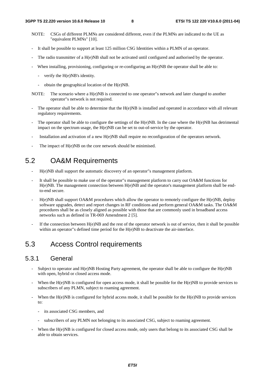- NOTE: CSGs of different PLMNs are considered different, even if the PLMNs are indicated to the UE as "equivalent PLMNs" [10].
- It shall be possible to support at least 125 million CSG Identities within a PLMN of an operator.
- The radio transmitter of a H(e)NB shall not be activated until configured and authorised by the operator.
- When installing, provisioning, configuring or re-configuring an  $H(e)NB$  the operator shall be able to:
	- verify the H(e)NB's identity.
	- obtain the geographical location of the H(e)NB.
- NOTE: The scenario where a H(e)NB is connected to one operator"s network and later changed to another operator"s network is not required.
- The operator shall be able to determine that the  $H(e)NB$  is installed and operated in accordance with all relevant regulatory requirements.
- The operator shall be able to configure the settings of the  $H(e)NB$ . In the case where the  $H(e)NB$  has detrimental impact on the spectrum usage, the H(e)NB can be set to out-of-service by the operator.
- Installation and activation of a new H(e)NB shall require no reconfiguration of the operators network.
- The impact of H(e)NB on the core network should be minimised.

# 5.2 OA&M Requirements

- H(e)NB shall support the automatic discovery of an operator"s management platform.
- It shall be possible to make use of the operator"s management platform to carry out OA&M functions for H(e)NB. The management connection between H(e)NB and the operator's management platform shall be endto-end secure.
- H(e)NB shall support OA&M procedures which allow the operator to remotely configure the H(e)NB, deploy software upgrades, detect and report changes in RF conditions and perform general OA&M tasks. The OA&M procedures shall be as closely aligned as possible with those that are commonly used in broadband access networks such as defined in TR-069 Amendment 2 [5].
- If the connection between  $H(e)NB$  and the rest of the operator network is out of service, then it shall be possible within an operator"s defined time period for the H(e)NB to deactivate the air-interface.

# 5.3 Access Control requirements

### 5.3.1 General

- Subject to operator and  $H(e)NB$  Hosting Party agreement, the operator shall be able to configure the  $H(e)NB$ with open, hybrid or closed access mode.
- When the  $H(e)NB$  is configured for open access mode, it shall be possible for the  $H(e)NB$  to provide services to subscribers of any PLMN, subject to roaming agreement.
- When the  $H(e)NB$  is configured for hybrid access mode, it shall be possible for the  $H(e)NB$  to provide services to:
	- its associated CSG members, and
	- subscribers of any PLMN not belonging to its associated CSG, subject to roaming agreement.
- When the H(e)NB is configured for closed access mode, only users that belong to its associated CSG shall be able to obtain services.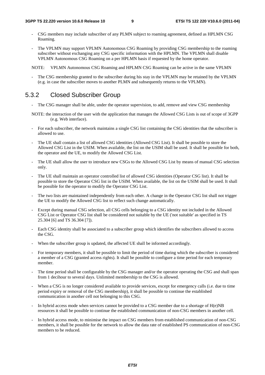- CSG members may include subscriber of any PLMN subject to roaming agreement, defined as HPLMN CSG Roaming.
- The VPLMN may support VPLMN Autonomous CSG Roaming by providing CSG membership to the roaming subscriber without exchanging any CSG specific information with the HPLMN. The VPLMN shall disable VPLMN Autonomous CSG Roaming on a per HPLMN basis if requested by the home operator.

NOTE: VPLMN Autonomous CSG Roaming and HPLMN CSG Roaming can be active in the same VPLMN

The CSG membership granted to the subscriber during his stay in the VPLMN may be retained by the VPLMN (e.g. in case the subscriber moves to another PLMN and subsequently returns to the VPLMN).

# 5.3.2 Closed Subscriber Group

- The CSG manager shall be able, under the operator supervision, to add, remove and view CSG membership
- NOTE: the interaction of the user with the application that manages the Allowed CSG Lists is out of scope of 3GPP (e.g. Web interface).
- For each subscriber, the network maintains a single CSG list containing the CSG identities that the subscriber is allowed to use.
- The UE shall contain a list of allowed CSG identities (Allowed CSG List). It shall be possible to store the Allowed CSG List in the USIM. When available, the list on the USIM shall be used. It shall be possible for both, the operator and the UE, to modify the Allowed CSG List.
- The UE shall allow the user to introduce new CSGs to the Allowed CSG List by means of manual CSG selection only.
- The UE shall maintain an operator controlled list of allowed CSG identities (Operator CSG list). It shall be possible to store the Operator CSG list in the USIM. When available, the list on the USIM shall be used. It shall be possible for the operator to modify the Operator CSG List.
- The two lists are maintained independently from each other. A change in the Operator CSG list shall not trigger the UE to modify the Allowed CSG list to reflect such change automatically.
- Except during manual CSG selection, all CSG cells belonging to a CSG identity not included in the Allowed CSG List or Operator CSG list shall be considered not suitable by the UE ('not suitable' as specified in TS 25.304 [6] and TS 36.304 [7]).
- Each CSG identity shall be associated to a subscriber group which identifies the subscribers allowed to access the CSG.
- When the subscriber group is updated, the affected UE shall be informed accordingly.
- For temporary members, it shall be possible to limit the period of time during which the subscriber is considered a member of a CSG (granted access rights). It shall be possible to configure a time period for each temporary member.
- The time period shall be configurable by the CSG manager and/or the operator operating the CSG and shall span from 1 decihour to several days. Unlimited membership to the CSG is allowed.
- When a CSG is no longer considered available to provide services, except for emergency calls (i.e. due to time period expiry or removal of the CSG membership), it shall be possible to continue the established communication in another cell not belonging to this CSG.
- In hybrid access mode when services cannot be provided to a CSG member due to a shortage of  $H(e)NB$ resources it shall be possible to continue the established communication of non-CSG members in another cell.
- In hybrid access mode, to minimise the impact on CSG members from established communication of non-CSG members, it shall be possible for the network to allow the data rate of established PS communication of non-CSG members to be reduced.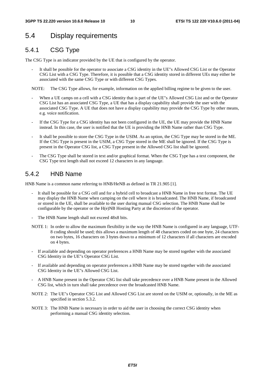# 5.4 Display requirements

# 5.4.1 CSG Type

The CSG Type is an indicator provided by the UE that is configured by the operator.

It shall be possible for the operator to associate a CSG identity in the UE"s Allowed CSG List or the Operator CSG List with a CSG Type. Therefore, it is possible that a CSG identity stored in different UEs may either be associated with the same CSG Type or with different CSG Types.

NOTE: The CSG Type allows, for example, information on the applied billing regime to be given to the user.

- When a UE camps on a cell with a CSG identity that is part of the UE"s Allowed CSG List and or the Operator CSG List has an associated CSG Type, a UE that has a display capability shall provide the user with the associated CSG Type. A UE that does not have a display capability may provide the CSG Type by other means, e.g. voice notification.
- If the CSG Type for a CSG identity has not been configured in the UE, the UE may provide the HNB Name instead. In this case, the user is notified that the UE is providing the HNB Name rather than CSG Type.
- It shall be possible to store the CSG Type in the USIM. As an option, the CSG Type may be stored in the ME. If the CSG Type is present in the USIM, a CSG Type stored in the ME shall be ignored. If the CSG Type is present in the Operator CSG list, a CSG Type present in the Allowed CSG list shall be ignored.
- The CSG Type shall be stored in text and/or graphical format. When the CSG Type has a text component, the CSG Type text length shall not exceed 12 characters in any language.

# 5.4.2 HNB Name

HNB Name is a common name referring to HNB/HeNB as defined in TR 21.905 [1].

- It shall be possible for a CSG cell and for a hybrid cell to broadcast a HNB Name in free text format. The UE may display the HNB Name when camping on the cell where it is broadcasted. The HNB Name, if broadcasted or stored in the UE, shall be available to the user during manual CSG selection. The HNB Name shall be configurable by the operator or the H(e)NB Hosting Party at the discretion of the operator.
- The HNB Name length shall not exceed 48x8 bits.
- NOTE 1: In order to allow the maximum flexibility in the way the HNB Name is configured in any language, UTF-8 coding should be used; this allows a maximum length of 48 characters coded on one byte, 24 characters on two bytes, 16 characters on 3 bytes down to a minimum of 12 characters if all characters are encoded on 4 bytes.
- If available and depending on operator preferences a HNB Name may be stored together with the associated CSG Identity in the UE"s Operator CSG List.
- If available and depending on operator preferences a HNB Name may be stored together with the associated CSG Identity in the UE"s Allowed CSG List.
- A HNB Name present in the Operator CSG list shall take precedence over a HNB Name present in the Allowed CSG list, which in turn shall take precedence over the broadcasted HNB Name.
- NOTE 2: The UE"s Operator CSG List and Allowed CSG List are stored on the USIM or, optionally, in the ME as specified in section 5.3.2.
- NOTE 3: The HNB Name is necessary in order to aid the user in choosing the correct CSG identity when performing a manual CSG identity selection.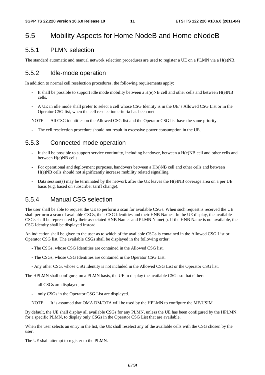# 5.5 Mobility Aspects for Home NodeB and Home eNodeB

### 5.5.1 PLMN selection

The standard automatic and manual network selection procedures are used to register a UE on a PLMN via a H(e)NB.

### 5.5.2 Idle-mode operation

In addition to normal cell reselection procedures, the following requirements apply:

- It shall be possible to support idle mode mobility between a  $H(e)NB$  cell and other cells and between  $H(e)NB$ cells.
- A UE in idle mode shall prefer to select a cell whose CSG Identity is in the UE"s Allowed CSG List or in the Operator CSG list, when the cell reselection criteria has been met.

NOTE: All CSG identities on the Allowed CSG list and the Operator CSG list have the same priority.

The cell reselection procedure should not result in excessive power consumption in the UE.

### 5.5.3 Connected mode operation

- It shall be possible to support service continuity, including handover, between a  $H(e)NB$  cell and other cells and between H(e)NB cells.
- For operational and deployment purposes, handovers between a H(e)NB cell and other cells and between H(e)NB cells should not significantly increase mobility related signalling.
- Data session(s) may be terminated by the network after the UE leaves the H(e)NB coverage area on a per UE basis (e.g. based on subscriber tariff change).

### 5.5.4 Manual CSG selection

The user shall be able to request the UE to perform a scan for available CSGs. When such request is received the UE shall perform a scan of available CSGs, their CSG Identities and their HNB Names. In the UE display, the available CSGs shall be represented by their associated HNB Names and PLMN Name(s). If the HNB Name is not available, the CSG Identity shall be displayed instead.

An indication shall be given to the user as to which of the available CSGs is contained in the Allowed CSG List or Operator CSG list. The available CSGs shall be displayed in the following order:

- The CSGs, whose CSG Identities are contained in the Allowed CSG list.
- The CSGs, whose CSG Identities are contained in the Operator CSG List.
- Any other CSG, whose CSG Identity is not included in the Allowed CSG List or the Operator CSG list.

The HPLMN shall configure, on a PLMN basis, the UE to display the available CSGs so that either:

- all CSGs are displayed, or
- only CSGs in the Operator CSG List are displayed.
- NOTE: It is assumed that OMA DM/OTA will be used by the HPLMN to configure the ME/USIM

By default, the UE shall display all available CSGs for any PLMN, unless the UE has been configured by the HPLMN, for a specific PLMN, to display only CSGs in the Operator CSG List that are available.

When the user selects an entry in the list, the UE shall reselect any of the available cells with the CSG chosen by the user.

The UE shall attempt to register to the PLMN.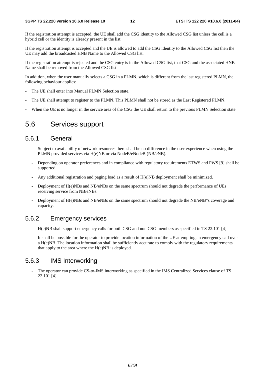If the registration attempt is accepted, the UE shall add the CSG identity to the Allowed CSG list unless the cell is a hybrid cell or the identity is already present in the list.

If the registration attempt is accepted and the UE is allowed to add the CSG identity to the Allowed CSG list then the UE may add the broadcasted HNB Name to the Allowed CSG list.

If the registration attempt is rejected and the CSG entry is in the Allowed CSG list, that CSG and the associated HNB Name shall be removed from the Allowed CSG list.

In addition, when the user manually selects a CSG in a PLMN, which is different from the last registered PLMN, the following behaviour applies:

- The UE shall enter into Manual PLMN Selection state.
- The UE shall attempt to register to the PLMN. This PLMN shall not be stored as the Last Registered PLMN.
- When the UE is no longer in the service area of the CSG the UE shall return to the previous PLMN Selection state.

### 5.6 Services support

### 5.6.1 General

- Subject to availability of network resources there shall be no difference in the user experience when using the PLMN provided services via H(e)NB or via NodeB/eNodeB (NB/eNB).
- Depending on operator preferences and in compliance with regulatory requirements ETWS and PWS [9] shall be supported.
- Any additional registration and paging load as a result of H(e)NB deployment shall be minimized.
- Deployment of H(e)NBs and NB/eNBs on the same spectrum should not degrade the performance of UEs receiving service from NB/eNBs.
- Deployment of H(e)NBs and NB/eNBs on the same spectrum should not degrade the NB/eNB"s coverage and capacity.

### 5.6.2 Emergency services

- H(e)NB shall support emergency calls for both CSG and non CSG members as specified in TS 22.101 [4].
- It shall be possible for the operator to provide location information of the UE attempting an emergency call over a H(e)NB. The location information shall be sufficiently accurate to comply with the regulatory requirements that apply to the area where the  $H(e)NB$  is deployed.

### 5.6.3 IMS Interworking

The operator can provide CS-to-IMS interworking as specified in the IMS Centralized Services clause of TS 22.101 [4].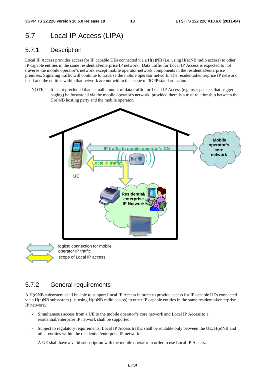# 5.7 Local IP Access (LIPA)

### 5.7.1 Description

Local IP Access provides access for IP capable UEs connected via a H(e)NB (i.e. using H(e)NB radio access) to other IP capable entities in the same residential/enterprise IP network. Data traffic for Local IP Access is expected to not traverse the mobile operator"s network except mobile operator network components in the residential/enterprise premises. Signaling traffic will continue to traverse the mobile operator network. The residential/enterprise IP network itself and the entities within that network are not within the scope of 3GPP standardisation.

NOTE: It is not precluded that a small amount of data traffic for Local IP Access (e.g. user packets that trigger paging) be forwarded via the mobile operator's network, provided there is a trust relationship between the H(e)NB hosting party and the mobile operator.





scope of Local IP access

### 5.7.2 General requirements

A H(e)NB subsystem shall be able to support Local IP Access in order to provide access for IP capable UEs connected via a H(e)NB subsystem (i.e. using H(e)NB radio access) to other IP capable entities in the same residential/enterprise IP network.

- Simultaneous access from a UE to the mobile operator"s core network and Local IP Access to a residential/enterprise IP network shall be supported.
- Subject to regulatory requirements, Local IP Access traffic shall be routable only between the UE, H(e)NB and other entities within the residential/enterprise IP network.
- A UE shall have a valid subscription with the mobile operator in order to use Local IP Access.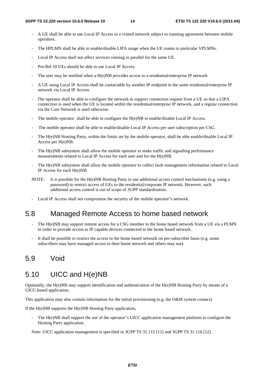- A UE shall be able to use Local IP Access in a visited network subject to roaming agreement between mobile operators.
- The HPLMN shall be able to enable/disable LIPA usage when the UE roams to particular VPLMNs.
- Local IP Access shall not affect services running in parallel for the same UE.
- Pre-Rel 10 UEs should be able to use Local IP Access.
- The user may be notified when a  $H(e)NB$  provides access to a residential/enterprise IP network
- A UE using Local IP Access shall be contactable by another IP endpoint in the same residential/enterprise IP network via Local IP Access.
- The operator shall be able to configure the network to support connection request from a UE so that a LIPA connection is used when the UE is located within the residential/enterprise IP network, and a regular connection via the Core Network is used otherwise.
- The mobile operator shall be able to configure the  $H(e)NB$  to enable/disable Local IP Access.
- The mobile operator shall be able to enable/disable Local IP Access per user subscription per CSG.
- The H(e)NB Hosting Party, within the limits set by the mobile operator, shall be able enable/disable Local IP Access per H(e)NB.
- The H(e)NB subsystem shall allow the mobile operator to make traffic and signalling performance measurements related to Local IP Access for each user and for the H(e)NB.
- The H(e)NB subsystem shall allow the mobile operator to collect fault management information related to Local IP Access for each H(e)NB.
- NOTE: It is possible for the H(e)NB Hosting Party to use additional access control mechanisms (e.g. using a password) to restrict access of UEs to the residential/corporate IP network. However, such additional access control is out of scope of 3GPP standardisation.
- Local IP Access shall not compromise the security of the mobile operator"s network.

# 5.8 Managed Remote Access to home based network

- The H(e)NB may support remote access for a CSG member to the home based network from a UE via a PLMN in order to provide access to IP capable devices connected to the home based network.
- It shall be possible to restrict the access to the home based network on per-subscriber basis (e.g. some subscribers may have managed access to their home network and others may not).

# 5.9 Void

### 5.10 UICC and H(e)NB

Optionally, the H(e)NB may support identification and authentication of the H(e)NB Hosting Party by means of a UICC-based application.

This application may also contain information for the initial provisioning (e.g. the O&M system contact).

If the H(e)NB supports the H(e)NB Hosting Party application,

The H(e)NB shall support the use of the operator"s UICC application management platform to configure the Hosting Party application.

Note: UICC application management is specified in 3GPP TS 31.115 [11] and 3GPP TS 31.116 [12].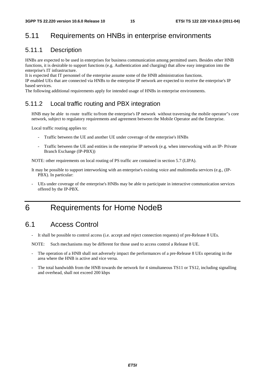# 5.11 Requirements on HNBs in enterprise environments

### 5.11.1 Description

HNBs are expected to be used in enterprises for business communication among permitted users. Besides other HNB functions, it is desirable to support functions (e.g. Authentication and charging) that allow easy integration into the enterprise's IT infrastructure.

It is expected that IT personnel of the enterprise assume some of the HNB administration functions.

IP enabled UEs that are connected via HNBs to the enterprise IP network are expected to receive the enterprise's IP based services.

The following additional requirements apply for intended usage of HNBs in enterprise environments.

### 5.11.2 Local traffic routing and PBX integration

HNB may be able to route traffic to/from the enterprise's IP network without traversing the mobile operator"s core network, subject to regulatory requirements and agreement between the Mobile Operator and the Enterprise.

Local traffic routing applies to:

- Traffic between the UE and another UE under coverage of the enterprise's HNBs
- Traffic between the UE and entities in the enterprise IP network (e.g. when interworking with an IP- Private Branch Exchange (IP-PBX))

NOTE: other requirements on local routing of PS traffic are contained in section 5.7 (LIPA).

It may be possible to support interworking with an enterprise's existing voice and multimedia services (e.g., (IP-PBX). In particular:

- UEs under coverage of the enterprise's HNBs may be able to participate in interactive communication services offered by the IP-PBX.

# 6 Requirements for Home NodeB

# 6.1 Access Control

- It shall be possible to control access (i.e. accept and reject connection requests) of pre-Release 8 UEs.

NOTE: Such mechanisms may be different for those used to access control a Release 8 UE.

- The operation of a HNB shall not adversely impact the performances of a pre-Release 8 UEs operating in the area where the HNB is active and vice versa.
- The total bandwidth from the HNB towards the network for 4 simultaneous TS11 or TS12, including signalling and overhead, shall not exceed 200 kbps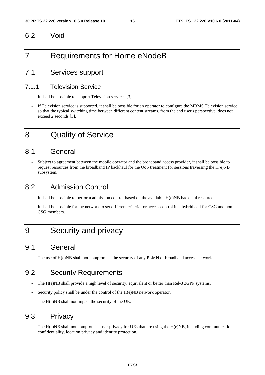### 6.2 Void

# 7 Requirements for Home eNodeB

# 7.1 Services support

### 7.1.1 Television Service

- It shall be possible to support Television services [3].
- If Television service is supported, it shall be possible for an operator to configure the MBMS Television service so that the typical switching time between different content streams, from the end user's perspective, does not exceed 2 seconds [3].

# 8 Quality of Service

### 8.1 General

- Subject to agreement between the mobile operator and the broadband access provider, it shall be possible to request resources from the broadband IP backhaul for the QoS treatment for sessions traversing the H(e)NB subsystem.

# 8.2 Admission Control

- It shall be possible to perform admission control based on the available H(e)NB backhaul resource.
- It shall be possible for the network to set different criteria for access control in a hybrid cell for CSG and non-CSG members.

# 9 Security and privacy

# 9.1 General

The use of  $H(e)NB$  shall not compromise the security of any PLMN or broadband access network.

# 9.2 Security Requirements

- The H(e)NB shall provide a high level of security, equivalent or better than Rel-8 3GPP systems.
- Security policy shall be under the control of the H(e)NB network operator.
- The H(e)NB shall not impact the security of the UE.

### 9.3 Privacy

The  $H(e)NB$  shall not compromise user privacy for UEs that are using the  $H(e)NB$ , including communication confidentiality, location privacy and identity protection.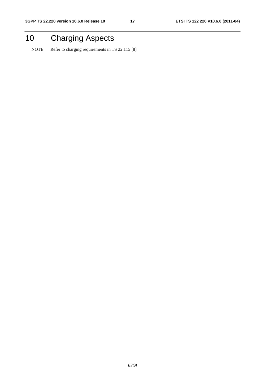# 10 Charging Aspects

NOTE: Refer to charging requirements in TS 22.115 [8]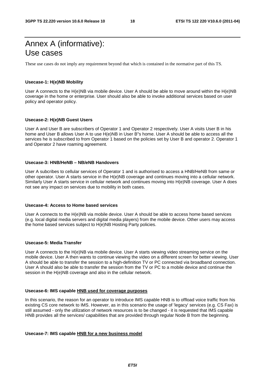# Annex A (informative): Use cases

These use cases do not imply any requirement beyond that which is contained in the normative part of this TS.

### **Usecase-1: H(e)NB Mobility**

User A connects to the H(e)NB via mobile device. User A should be able to move around within the H(e)NB coverage in the home or enterprise. User should also be able to invoke additional services based on user policy and operator policy.

#### **Usecase-2: H(e)NB Guest Users**

User A and User B are subscribers of Operator 1 and Operator 2 respectively. User A visits User B in his home and User B allows User A to use H(e)NB in User B"s home. User A should be able to access all the services he is subscribed to from Operator 1 based on the policies set by User B and operator 2. Operator 1 and Operator 2 have roaming agreement.

#### **Usecase-3: HNB/HeNB – NB/eNB Handovers**

User A subcribes to cellular services of Operator 1 and is authorised to access a HNB/HeNB from same or other operator. User A starts service in the H(e)NB coverage and continues moving into a cellular network. Similarly User A starts service in cellular network and continues moving into H(e)NB coverage. User A does not see any impact on services due to mobility in both cases.

#### **Usecase-4: Access to Home based services**

User A connects to the H(e)NB via mobile device. User A should be able to access home based services (e.g. local digital media servers and digital media players) from the mobile device. Other users may access the home based services subject to H(e)NB Hosting Party policies.

#### **Usecase-5: Media Transfer**

User A connects to the H(e)NB via mobile device. User A starts viewing video streaming service on the mobile device. User A then wants to continue viewing the video on a different screen for better viewing. User A should be able to transfer the session to a high-definition TV or PC connected via broadband connection. User A should also be able to transfer the session from the TV or PC to a mobile device and continue the session in the H(e)NB coverage and also in the cellular network.

#### **Usecase-6: IMS capable HNB used for coverage purposes**

In this scenario, the reason for an operator to introduce IMS capable HNB is to offload voice traffic from his existing CS core network to IMS. However, as in this scenario the usage of 'legacy' services (e.g. CS Fax) is still assumed - only the utilization of network resources is to be changed - it is requested that IMS capable HNB provides all the services/ capabilities that are provided through regular Node B from the beginning.

#### **Usecase-7: IMS capable HNB for a new business model**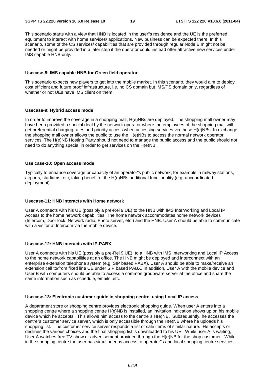This scenario starts with a view that HNB is located in the user"s residence and the UE is the preferred equipment to interact with home services/ applications. New business can be expected there. In this scenario, some of the CS services/ capabilities that are provided through regular Node B might not be needed or might be provided in a later step if the operator could instead offer attractive new services under IMS capable HNB only.

#### **Usecase-8: IMS capable HNB for Green field operator**

This scenario expects new players to get into the mobile market. In this scenario, they would aim to deploy cost efficient and future proof infrastructure, i.e. no CS domain but IMS/PS domain only, regardless of whether or not UEs have IMS client on them.

### **Usecase-9: Hybrid access mode**

In order to improve the coverage in a shopping mall, H(e)NBs are deployed. The shopping mall owner may have been provided a special deal by the network operator where the employees of the shopping mall will get preferential charging rates and priority access when accessing services via these H(e)NBs. In exchange, the shopping mall owner allows the public to use the H(e)NBs to access the normal network operator services. The H(e)NB Hosting Party should not need to manage the public access and the public should not need to do anything special in order to get services on the H(e)NB.

#### **Use case-10: Open access mode**

Typically to enhance coverage or capacity of an operator"s public network, for example in railway stations, airports, stadiums, etc, taking benefit of the H(e)NBs additional functionality (e.g. uncoordinated deployment).

#### **Usecase-11: HNB interacts with Home network**

User A connects with his UE (possibly a pre-Rel 9 UE) to the HNB with IMS Interworking and Local IP Access to the home network capabilities. The home network accommodates home network devices (Intercom, Door lock, Network radio, Photo server, etc.) and the HNB. User A should be able to communicate with a visitor at Intercom via the mobile device.

#### **Usecase-12: HNB interacts with IP-PABX**

User A connects with his UE (possibly a pre-Rel 9 UE) to a HNB with IMS Interworking and Local IP Access to the home network capabilities at an office. The HNB might be deployed and interconnect with an enterprise extension telephone system (e.g. SIP based PABX). User A should be able to make/receive an extension call to/from fixed line UE under SIP based PABX. In addition, User A with the mobile device and User B with computers should be able to access a common groupware server at the office and share the same information such as schedule, emails, etc.

#### **Usecase-13: Electronic customer guide in shopping centre, using Local IP access**

A department store or shopping centre provides electronic shopping guide. When user A enters into a shopping centre where a shopping centre H(e)NB is installed, an invitation indication shows up on his mobile device which he accepts. This allows him access to the centre"s H(e)NB. Subsequently, he accesses the centre"s customer service server, which is only accessible through the H(e)NB where he uploads his shopping list. The customer service server responds a list of sale items of similar nature. He accepts or declines the various choices and the final shopping list is downloaded to his UE. While user A is waiting, User A watches free TV show or advertisement provided through the H(e)NB for the shop customer. While in the shopping centre the user has simultaneous access to operator"s and local shopping centre services.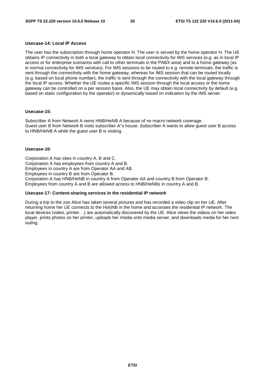### **Usecase-14: Local IP Access**

The user has the subscription through home operator H. The user is served by the home operator H. The UE obtains IP connectivity in both a local gateway to obtain local connectivity for IMS services (e.g. as in local IP access or for enterprise scenarios with call to other terminals in the PABX area) and to a home gateway (as in normal connectivity for IMS services). For IMS sessions to be routed to e.g. remote terminals, the traffic is sent through the connectivity with the home gateway, whereas for IMS session that can be routed locally (e.g. based on local phone number), the traffic is sent through the connectivity with the local gateway through the local IP access. Whether the UE routes a specific IMS session through the local access or the home gateway can be controlled on a per session basis. Also, the UE may obtain local connectivity by default (e.g. based on static configuration by the operator) or dynamically based on indication by the IMS server.

#### **Usecase-15:**

Subscriber A from Network A owns HNB/HeNB A because of no macro network coverage . Guest user B from Network B visits subscriber A"s house. Subscriber A wants to allow guest user B access to HNB/HeNB A while the guest user B is visiting.

#### **Usecase-16:**

Corporation A has sites in country A, B and C. Corporation A has employees from country A and B. Employees in country A are from Operator AA and AB. Employees in country B are from Operator B. Corporation A has HNB/HeNB in country A from Operator AA and country B from Operator B. Employees from country A and B are allowed access to HNB/HeNBs in country A and B.

#### **Usecase-17: Content-sharing services in the residential IP network**

During a trip to the zoo Alice has taken several pictures and has recorded a video clip on her UE. After returning home her UE connects to the H(e)NB in the home and accesses the residential IP network. The local devices (video, printer, ..) are automatically discovered by the UE. Alice views the videos on her video player, prints photos on her printer, uploads her media onto media server, and downloads media for her next outing.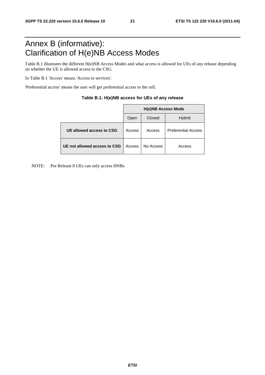# Annex B (informative): Clarification of H(e)NB Access Modes

Table B.1 illustrates the different H(e)NB Access Modes and what access is allowed for UEs of any release depending on whether the UE is allowed access to the CSG.

In Table B.1 'Access' means 'Access to services'.

'Preferential access' means the user will get preferential access to the cell.

|                              | <b>H(e)NB Access Mode</b> |           |                            |  |  |  |
|------------------------------|---------------------------|-----------|----------------------------|--|--|--|
|                              | Open                      | Closed    | <b>Hybrid</b>              |  |  |  |
| UE allowed access to CSG     | Access                    | Access    | <b>Preferential Access</b> |  |  |  |
| UE not allowed access to CSG | Access                    | No Access | Access                     |  |  |  |

| Table B.1: H(e)NB access for UEs of any release |  |  |  |
|-------------------------------------------------|--|--|--|
|-------------------------------------------------|--|--|--|

NOTE: Pre Release 8 UEs can only access HNBs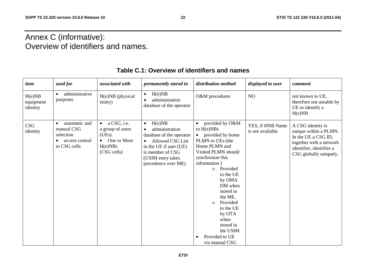# Annex C (informative): Overview of identifiers and names.

| item                            | used for                                                                                | associated with                                                                                | permanently stored in                                                                                                                                                                        | distribution method                                                                                                                                                                                                                                                                                                                                                   | displayed to user                    | comment                                                                                                                                            |
|---------------------------------|-----------------------------------------------------------------------------------------|------------------------------------------------------------------------------------------------|----------------------------------------------------------------------------------------------------------------------------------------------------------------------------------------------|-----------------------------------------------------------------------------------------------------------------------------------------------------------------------------------------------------------------------------------------------------------------------------------------------------------------------------------------------------------------------|--------------------------------------|----------------------------------------------------------------------------------------------------------------------------------------------------|
| H(e)NB<br>equipment<br>identity | administrative<br>purposes                                                              | H(e)NB (physical<br>entity)                                                                    | H(e)NB<br>$\bullet$<br>administration<br>database of the operator                                                                                                                            | O&M procedures                                                                                                                                                                                                                                                                                                                                                        | NO                                   | not known to UE,<br>therefore not useable by<br>UE to identify a<br>H(e)NB                                                                         |
| <b>CSG</b><br>identity          | automatic and<br>$\bullet$<br>manual CSG<br>selection<br>access control<br>to CSG cells | $\bullet$ a CSG, i.e.<br>a group of users<br>(UEs).<br>• One or More<br>H(e)NBs<br>(CSG cells) | H(e)NB<br>$\bullet$<br>administration<br>database of the operator<br>Allowed CSG List<br>$\bullet$<br>in the UE if user (UE)<br>is member of CSG<br>(USIM entry takes<br>precedence over ME) | provided by O&M<br>to $H(e)NBs$<br>provided by home<br>$\bullet$<br>PLMN to UEs (the<br>Home PLMN and<br>Visited PLMN should<br>synchronize this<br>information)<br>Provided<br>$\Omega$<br>to the UE<br>by OMA<br>DM when<br>stored in<br>the ME,<br>Provided<br>$\circ$<br>to the UE<br>by OTA<br>when<br>stored in<br>the USIM<br>Provided to UE<br>via manual CSG | YES, if HNB Name<br>is not available | A CSG identity is<br>unique within a PLMN.<br>In the UE a CSG ID,<br>together with a network<br>identifier, identifies a<br>CSG globally uniquely. |

# **Table C.1: Overview of identifiers and names**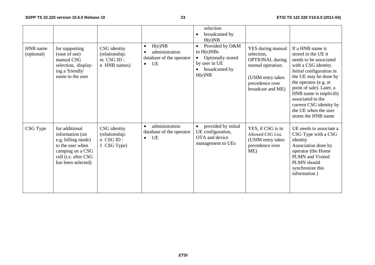| HNB name<br>(optional) | for supporting<br>(ease of use)<br>manual CSG<br>selection, display-<br>ing a 'friendly'<br>name to the user                                  | CSG identity<br>(relationship:<br>m CSG ID:<br>n HNB names) | H(e)NB<br>$\bullet$<br>administration<br>database of the operator<br>UE<br>$\bullet$ | selection<br>broadcasted by<br>H(e)NB<br>Provided by O&M<br>$\bullet$<br>to $H(e)NBs$<br>Optionally stored<br>$\bullet$<br>by user in UE<br>broadcasted by<br>H(e)NB | YES during manual<br>selection,<br><b>OPTIONAL</b> during<br>normal operation.<br>(USIM entry takes<br>precedence over<br>broadcast and ME) | If a HNB name is<br>stored in the UE it<br>needs to be associated<br>with a CSG identity.<br>Initial configuration in<br>the UE may be done by<br>the operator (e.g. at<br>point of sale). Later, a<br>HNB name is implicitly<br>associated to the<br>current CSG identity by<br>the UE when the user<br>stores the HNB name |
|------------------------|-----------------------------------------------------------------------------------------------------------------------------------------------|-------------------------------------------------------------|--------------------------------------------------------------------------------------|----------------------------------------------------------------------------------------------------------------------------------------------------------------------|---------------------------------------------------------------------------------------------------------------------------------------------|------------------------------------------------------------------------------------------------------------------------------------------------------------------------------------------------------------------------------------------------------------------------------------------------------------------------------|
| CSG Type               | for additional<br>information (on<br>e.g. billing mode)<br>to the user when<br>camping on a CSG<br>cell (i.e. after CSG<br>has been selected) | CSG identity<br>(relationship:<br>n CSG ID:<br>1 CSG Type)  | administration<br>$\bullet$<br>database of the operator<br>UE<br>$\bullet$           | provided by initial<br>$\bullet$<br>UE configuration,<br>OTA and device<br>management to UEs                                                                         | YES, if CSG is in<br>Allowed CSG List.<br>(USIM entry takes<br>precedence over<br>ME)                                                       | UE needs to associate a<br>CSG Type with a CSG<br>identity<br>Association done by<br>operator (the Home<br>PLMN and Visited<br>PLMN should<br>synchronize this<br>information)                                                                                                                                               |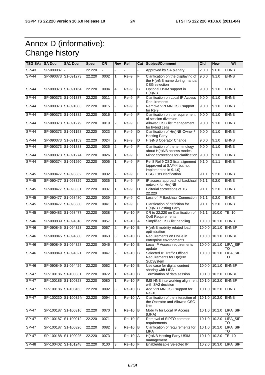# Annex D (informative): Change history

| TSG SA#  SA Doc. |                     | <b>SA1 Doc</b>       | <b>Spec</b> | <b>CR</b> | Rev            | Rel             |                | Cat Subject/Comment                                                                    | Old           | <b>New</b>      | WI                           |
|------------------|---------------------|----------------------|-------------|-----------|----------------|-----------------|----------------|----------------------------------------------------------------------------------------|---------------|-----------------|------------------------------|
| $SP-43$          | SP-090087           |                      | 22.220      |           |                |                 |                | Approved by SA plenary.                                                                | 2.0.0         | 9.0.0           | <b>EHNB</b>                  |
| $SP-44$          |                     | SP-090373 S1-091273  | 22.220      | 0002      | 1              | Rel-9           | F              | Clarification on the displaying of<br>the H(e)NB name during manual<br>CSG selection   | 9.0.0         | 9.1.0           | <b>EHNB</b>                  |
| SP-44            | SP-090373 S1-091164 |                      | 22.220      | 0004      | $\overline{4}$ | Rel-9           | В              | Optional USIM support in<br>H(e)NB                                                     | 9.0.0         | 9.1.0           | <b>EHNB</b>                  |
| $SP-44$          | SP-090373 S1-091387 |                      | 22.220      | 0011      | 3              | Rel-9           | F              | Clarification on Local IP Access<br>Requirements                                       | 9.0.0         | 9.1.0           | <b>EHNB</b>                  |
| $SP-44$          | SP-090373           | S1-091083            | 22.220      | 0015      |                | Rel-9           | F              | Remove VPLMN CSG support<br>for Rel9                                                   | 9.0.0         | 9.1.0           | <b>EHNB</b>                  |
| $SP-44$          | SP-090373 S1-091382 |                      | 22.220      | 0016      | $\overline{2}$ | $ReI-9$         | F              | Clarification on the requirement<br>of session diversion.                              | 9.0.0         | 9.1.0           | <b>EHNB</b>                  |
| <b>SP-44</b>     | SP-090373           | S1-091279            | 22.220      | 0019      | $\overline{2}$ | Rel-9           | F              | Allowed CSG list management<br>for hybrid cells                                        | 9.0.0         | 9.1.0           | <b>EHNB</b>                  |
| <b>SP-44</b>     | SP-090373 S1-091158 |                      | 22.220      | 0023      | 3              | Rel-9           | D              | Clarification of H(e)NB Owner /<br><b>Hosting Party</b>                                | 9.0.0         | 9.1.0           | <b>EHNB</b>                  |
| <b>SP-44</b>     | SP-090373 S1-091159 |                      | 22.220      | 0024      | $\overline{2}$ | Rel-9           | D              | H(e)NB Operator Change                                                                 | 9.0.0         | 9.1.0           | EHNB                         |
| <b>SP-44</b>     | SP-090373 S1-091383 |                      | 22.220      | 0025      | $\overline{2}$ | Rel-9           | F.             | Clarification of the terminology<br>about H(e)NB access modes                          | 9.0.0         | 9.1.0           | <b>EHNB</b>                  |
| $SP-44$          | SP-090373 S1-091274 |                      | 22.220      | 0026      | $\mathbf{1}$   | $Rel-9$         | F              | Minor corrections for clarification                                                    | 9.0.0         | 9.1.0           | <b>EHNB</b>                  |
| $SP-44$          | SP-090374 S1-091260 |                      | 22.220      | 0005      | 1              | $ReI-9$         | F              | Rel 8 Rel 9 CSG lists alignment<br>(approved at SA#44 but not<br>implemented in 9.1.0) | 9.1.0         | 9.1.1           | <b>EHNB</b>                  |
| SP-45            |                     | SP-090477 S1-093332  | 22.220      | 0032      | $\overline{2}$ | Rel-9           | F              | <b>CSG Lists clarification</b>                                                         | 9.1.1         | 9.2.0           | <b>EHNB</b>                  |
| $SP-45$          | SP-090477           | S1-093329            | 22.220      | 0035      | 1              | Rel-9           | F              | IP access approach of backhaul<br>network for H(e)NB                                   | 9.1.1         | 9.2.0           | <b>EHNB</b>                  |
| $SP-45$          | SP-090477           | S1-093331            | 22.220      | 0037      | 1              | Rel-9           | D              | <b>Editorial corrections of TS</b><br>22.220                                           | 9.1.1         | 9.2.0           | <b>EHNB</b>                  |
| $SP-45$          | SP-090477           | S1-093480            | 22.220      | 0039      | $\overline{2}$ | $ReI-9$         | $\overline{c}$ | Loss of IP Backhaul Connection                                                         | 9.1.1         | 9.2.0           | <b>EHNB</b>                  |
| SP-45            | SP-090477 S1-093330 |                      | 22.220      | 0041      | 1              | Rel-9           | F              | Clarification of definition for<br>H(e)NB Hosting Party                                | 9.1.1         | 9.2.0           | <b>EHNB</b>                  |
| <b>SP-45</b>     | SP-090483 S1-093477 |                      | 22.220      | 0038      | $\overline{4}$ | <b>Rel-10</b>   | F              | CR to 22.220 on Clarification of<br>QoS Requirements                                   | 9.1.1         | 10.0.0          | <b>TEI 10</b>                |
| SP-46            | SP-090839 S1-094318 |                      | 22.220      | 0057      | 1              | <b>Rel-10</b>   | <b>A</b>       | Simplified CSG list handling                                                           | 10.0.0        | 10.1.0          | <b>EHNB</b>                  |
| $SP-46$          | SP-090845 S1-094323 |                      | 22.220      | 0067      | $\overline{2}$ | <b>Rel-10</b>   | Iв             | H(e)NB mobility related load<br>optimization                                           | 10.0.0        | 10.1.0          | <b>EHNBF</b>                 |
| SP-46            | SP-090845 S1-094380 |                      | 22.220      | 0063      | 3              | <b>Rel-10</b>   | B              | Requirements on HNBs in<br>enterprise environments                                     | 10.0.0        | 10.1.0          | <b>EHNBF</b>                 |
| $SP-46$          | SP-090849           | S1-094328            | 22.220      | 0046      | 3              | <b>Rel-10</b>   | B              | Local IP Access requirements<br>update                                                 | 10.0.0        | 10.1.0          | LIPA_SIP<br>TO               |
| $SP-46$          | SP-090849           | S1-094321            | 22.220      | 0047      | $\overline{2}$ | $Rel-10$        | Б              | Selected IP Traffic Offload<br>Requirements for H(e)NB<br>SubSystem                    | 10.0.0        | 10.1.0          | LIPA_SIP<br>TO               |
| $SP-46$          | SP-090849 S1-094429 |                      | 22.220      | 0062      | 1              | $Rel-10$ B      |                | Use case for digital content<br>sharing with LIPA                                      |               |                 | 10.0.0 10.1.0 EHNBF          |
| $SP-47$          | SP-100186 S1-100331 |                      | 22.220      | 0072      | 1              | <b>Rel-10</b>   | B              | Termination of data session                                                            |               | $10.1.0$ 10.2.0 | <b>EHNBF</b>                 |
| $SP-47$          | SP-100186 S1-100328 |                      | 22.220      | 0080      | 1              | $Rel-10$ $F$    |                | IMS HNB interworking alignment<br>with SA2 decision                                    | 10.1.0 10.2.0 |                 | <b>EHNBF</b>                 |
| SP-47            |                     | SP-100186 S1-100453  | 22.220      | 0092      | $\mathbf{3}$   | $Rel-10$ B      |                | Add VPLMN CSG support for<br><b>Rel-10</b>                                             |               | 10.1.0 10.2.0   | <b>EHNB</b>                  |
| $SP-47$          |                     | SP-100230 S1-100324r | 22.220      | 0094      | 1              | $Rel-10$ $A$    |                | Clarification of the interaction of<br>the Operator and Allowed CSG<br>lists           |               | 10.1.0 10.2.0   | <b>EHNB</b>                  |
| <b>SP-47</b>     | SP-100187 S1-100316 |                      | 22.220      | 0070      | 1              | <b>Rel-10</b>   | <b>B</b>       | Mobility for Local IP Access<br>(LIPA)                                                 |               |                 | 10.1.0 10.2.0 LIPA_SIP<br>TO |
| $SP-47$          |                     | SP-100187 S1-100012  | 22.220      | 0071      |                | $Rel-10$ $F$    |                | Removal of SIPTO common<br>requirements                                                |               | 10.1.0 10.2.0   | LIPA_SIP<br>TO               |
| $SP-47$          | SP-100187 S1-100326 |                      | 22.220      | 0082      | 3              | $Rel-10$ B      |                | Clarification of requirements for<br>LIPA                                              |               | 10.1.0 10.2.0   | LIPA_SIP<br>TO               |
| $SP-47$          | SP-100188 S1-100025 |                      | 22.220      | 0073      |                | <b>Rel-10</b>   | $\overline{A}$ | H(e)NB Hosting Party USIM<br>management                                                |               | 10.1.0 10.2.0   | <b>TEI-10</b>                |
| $SP-48$          | SP-100402 S1-101248 |                      | 22.220      | 0100      | $\overline{3}$ | <b>Rel-10 F</b> |                | Enable/disable Selected IP                                                             |               |                 | 10.2.0 10.3.0 LIPA_SIP       |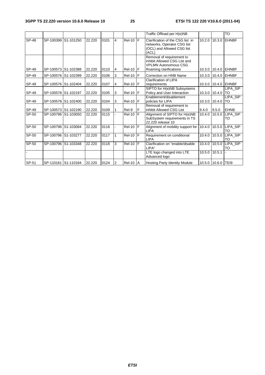|              |                     |                     |        |      |   |              |    | Traffic Offload per H(e)NB                                                                                         |        |                    | TO                  |
|--------------|---------------------|---------------------|--------|------|---|--------------|----|--------------------------------------------------------------------------------------------------------------------|--------|--------------------|---------------------|
| <b>SP-48</b> | SP-100399           | S1-101250           | 22.220 | 0101 | 4 | $ReI-10$ $F$ |    | Clarification of the CSG list in<br>networks, Operator CSG list<br>(OCL) and Allowed CSG list<br>(ACL)             | 10.2.0 |                    | 10.3.0 EHNBF        |
| SP-49        | SP-100573 S1-102388 |                     | 22.220 | 0110 | 4 | $Rel-10$ $F$ |    | Removal of requirement to<br>inhibit Allowed CSG List and<br><b>VPLMN Autonomous CSG</b><br>Roaming clarifications |        |                    | 10.3.0 10.4.0 EHNBF |
| SP-49        | SP-100576 S1-102399 |                     | 22.220 | 0106 | 3 | $Rel-10$ $F$ |    | Correction on HNB Name                                                                                             |        |                    | 10.3.0 10.4.0 EHNBF |
| SP-49        | SP-100576 S1-102404 |                     | 22.220 | 0107 | 4 | $Rel-10$ $F$ |    | Clarification of LIPA<br>requirements                                                                              |        |                    | 10.3.0 10.4.0 EHNBF |
| SP-49        | SP-100578 S1-102197 |                     | 22.220 | 0105 | 3 | $Rel-10$ $F$ |    | SIPTO for H(e)NB Subsystems<br>Policy and User Interaction                                                         |        | 10.3.0 10.4.0 TO   | LIPA SIP            |
| SP-49        | SP-100578 S1-102400 |                     | 22.220 | 0104 | 3 | $Rel-10$ $F$ |    | Enablement/disablement<br>policies for LIPA                                                                        |        | 10.3.0 10.4.0      | LIPA_SIP<br>TO      |
| SP-49        | SP-100573 S1-102190 |                     | 22.220 | 0109 |   | Rel-9        | IF | Removal of requirement to<br>inhibit Allowed CSG List                                                              | 9.4.0  | 9.5.0              | <b>EHNB</b>         |
| SP-50        |                     | SP-100796 S1-103050 | 22.220 | 0115 |   | $Rel-10$ $F$ |    | Alignment of SIPTO for H(e)NB<br>SubSystem requirements in TS<br>22.220 release 10                                 | 10.4.0 | 10.5.0             | LIPA SIP<br>TO      |
| $SP-50$      | SP-100796 S1-103084 |                     | 22.220 | 0116 |   | $ReI-10$ $F$ |    | Alignment of mobility support for<br><b>LIPA</b>                                                                   | 10.4.0 | 10.5.0             | LIPA SIP<br>TO      |
| SP-50        | SP-100796 S1-103277 |                     | 22.220 | 0117 | 1 | $Rel-10$ $F$ |    | Requirement on conditional<br><b>LIPA</b>                                                                          | 10.4.0 | 10.5.0             | LIPA_SIP<br>TO      |
| SP-50        |                     | SP-100796 S1-103348 | 22.220 | 0118 | 3 | $ReI-10$ $F$ |    | Clarification on "enable/disable<br>LIPA"                                                                          | 10.4.0 | 10.5.0             | LIPA SIP<br>TO      |
|              |                     |                     |        |      |   |              |    | LTE logo changed into LTE<br>Advanced logo                                                                         | 10.5.0 | 10.5.1             |                     |
| SP-51        |                     | SP-110161 S1-110184 | 22.220 | 0124 | 2 | $Rel-10$ $A$ |    | <b>Hosting Party Identity Module</b>                                                                               |        | 10.5.0 10.6.0 TEI9 |                     |